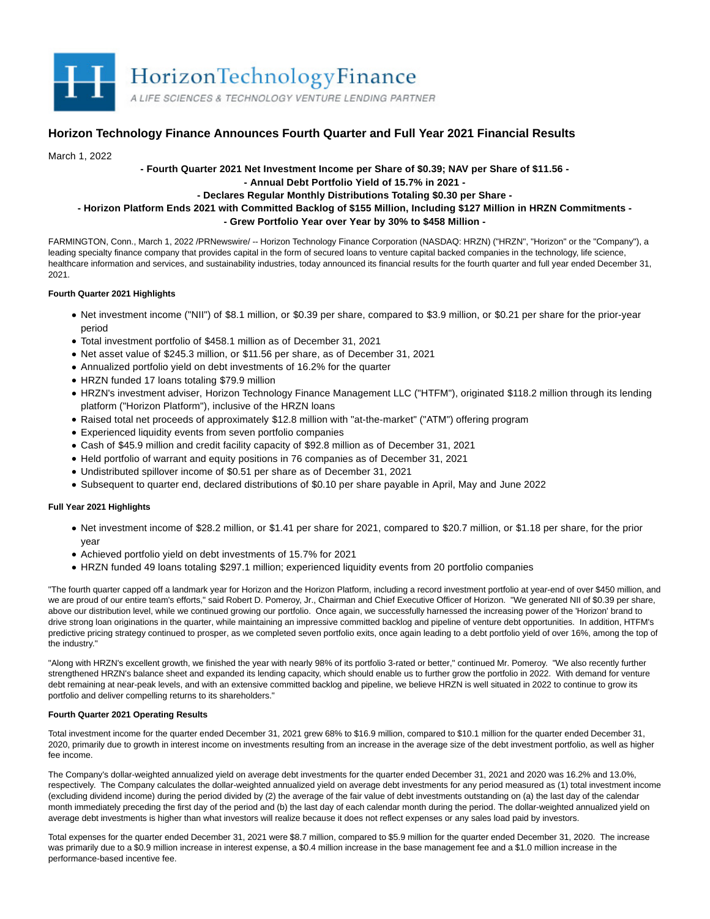

# **Horizon Technology Finance Announces Fourth Quarter and Full Year 2021 Financial Results**

March 1, 2022

**- Fourth Quarter 2021 Net Investment Income per Share of \$0.39; NAV per Share of \$11.56 -**

**- Annual Debt Portfolio Yield of 15.7% in 2021 -**

# **- Declares Regular Monthly Distributions Totaling \$0.30 per Share -**

# **- Horizon Platform Ends 2021 with Committed Backlog of \$155 Million, Including \$127 Million in HRZN Commitments - - Grew Portfolio Year over Year by 30% to \$458 Million -**

FARMINGTON, Conn., March 1, 2022 /PRNewswire/ -- Horizon Technology Finance Corporation (NASDAQ: HRZN) ("HRZN", "Horizon" or the "Company"), a leading specialty finance company that provides capital in the form of secured loans to venture capital backed companies in the technology, life science, healthcare information and services, and sustainability industries, today announced its financial results for the fourth quarter and full year ended December 31, 2021.

## **Fourth Quarter 2021 Highlights**

- Net investment income ("NII") of \$8.1 million, or \$0.39 per share, compared to \$3.9 million, or \$0.21 per share for the prior-year period
- Total investment portfolio of \$458.1 million as of December 31, 2021
- Net asset value of \$245.3 million, or \$11.56 per share, as of December 31, 2021
- Annualized portfolio yield on debt investments of 16.2% for the quarter
- HRZN funded 17 loans totaling \$79.9 million
- HRZN's investment adviser, Horizon Technology Finance Management LLC ("HTFM"), originated \$118.2 million through its lending platform ("Horizon Platform"), inclusive of the HRZN loans
- Raised total net proceeds of approximately \$12.8 million with "at-the-market" ("ATM") offering program
- Experienced liquidity events from seven portfolio companies
- Cash of \$45.9 million and credit facility capacity of \$92.8 million as of December 31, 2021
- Held portfolio of warrant and equity positions in 76 companies as of December 31, 2021
- Undistributed spillover income of \$0.51 per share as of December 31, 2021
- Subsequent to quarter end, declared distributions of \$0.10 per share payable in April, May and June 2022

# **Full Year 2021 Highlights**

- Net investment income of \$28.2 million, or \$1.41 per share for 2021, compared to \$20.7 million, or \$1.18 per share, for the prior year
- Achieved portfolio yield on debt investments of 15.7% for 2021
- HRZN funded 49 loans totaling \$297.1 million; experienced liquidity events from 20 portfolio companies

"The fourth quarter capped off a landmark year for Horizon and the Horizon Platform, including a record investment portfolio at year-end of over \$450 million, and we are proud of our entire team's efforts," said Robert D. Pomeroy, Jr., Chairman and Chief Executive Officer of Horizon. "We generated NII of \$0.39 per share, above our distribution level, while we continued growing our portfolio. Once again, we successfully harnessed the increasing power of the 'Horizon' brand to drive strong loan originations in the quarter, while maintaining an impressive committed backlog and pipeline of venture debt opportunities. In addition, HTFM's predictive pricing strategy continued to prosper, as we completed seven portfolio exits, once again leading to a debt portfolio yield of over 16%, among the top of the industry."

"Along with HRZN's excellent growth, we finished the year with nearly 98% of its portfolio 3-rated or better," continued Mr. Pomeroy. "We also recently further strengthened HRZN's balance sheet and expanded its lending capacity, which should enable us to further grow the portfolio in 2022. With demand for venture debt remaining at near-peak levels, and with an extensive committed backlog and pipeline, we believe HRZN is well situated in 2022 to continue to grow its portfolio and deliver compelling returns to its shareholders."

## **Fourth Quarter 2021 Operating Results**

Total investment income for the quarter ended December 31, 2021 grew 68% to \$16.9 million, compared to \$10.1 million for the quarter ended December 31, 2020, primarily due to growth in interest income on investments resulting from an increase in the average size of the debt investment portfolio, as well as higher fee income.

The Company's dollar-weighted annualized yield on average debt investments for the quarter ended December 31, 2021 and 2020 was 16.2% and 13.0%, respectively. The Company calculates the dollar-weighted annualized yield on average debt investments for any period measured as (1) total investment income (excluding dividend income) during the period divided by (2) the average of the fair value of debt investments outstanding on (a) the last day of the calendar month immediately preceding the first day of the period and (b) the last day of each calendar month during the period. The dollar-weighted annualized yield on average debt investments is higher than what investors will realize because it does not reflect expenses or any sales load paid by investors.

Total expenses for the quarter ended December 31, 2021 were \$8.7 million, compared to \$5.9 million for the quarter ended December 31, 2020. The increase was primarily due to a \$0.9 million increase in interest expense, a \$0.4 million increase in the base management fee and a \$1.0 million increase in the performance-based incentive fee.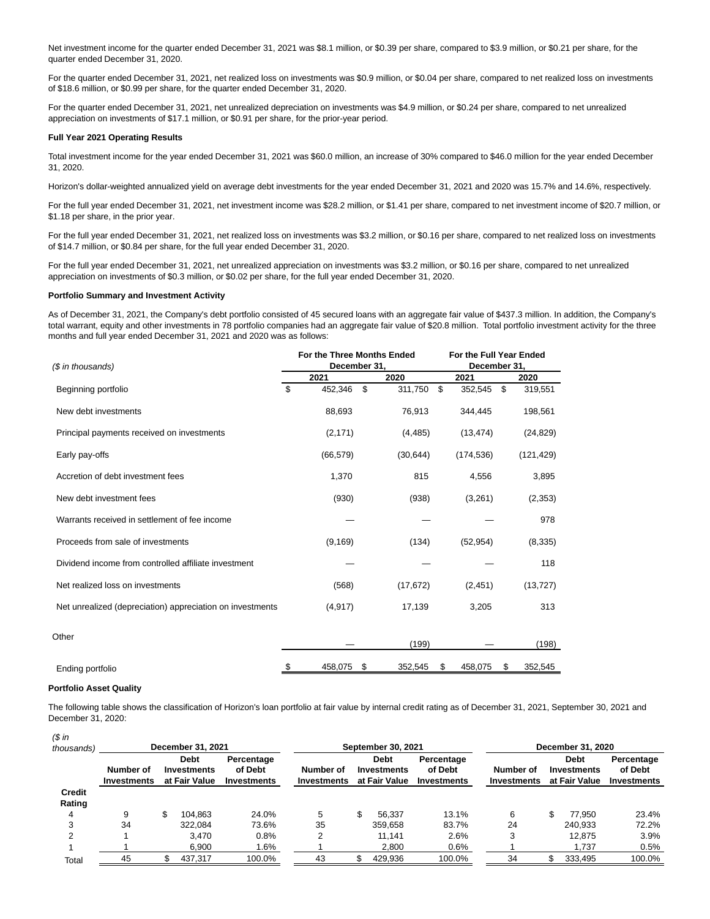Net investment income for the quarter ended December 31, 2021 was \$8.1 million, or \$0.39 per share, compared to \$3.9 million, or \$0.21 per share, for the quarter ended December 31, 2020.

For the quarter ended December 31, 2021, net realized loss on investments was \$0.9 million, or \$0.04 per share, compared to net realized loss on investments of \$18.6 million, or \$0.99 per share, for the quarter ended December 31, 2020.

For the quarter ended December 31, 2021, net unrealized depreciation on investments was \$4.9 million, or \$0.24 per share, compared to net unrealized appreciation on investments of \$17.1 million, or \$0.91 per share, for the prior-year period.

#### **Full Year 2021 Operating Results**

Total investment income for the year ended December 31, 2021 was \$60.0 million, an increase of 30% compared to \$46.0 million for the year ended December 31, 2020.

Horizon's dollar-weighted annualized yield on average debt investments for the year ended December 31, 2021 and 2020 was 15.7% and 14.6%, respectively.

For the full year ended December 31, 2021, net investment income was \$28.2 million, or \$1.41 per share, compared to net investment income of \$20.7 million, or \$1.18 per share, in the prior year.

For the full year ended December 31, 2021, net realized loss on investments was \$3.2 million, or \$0.16 per share, compared to net realized loss on investments of \$14.7 million, or \$0.84 per share, for the full year ended December 31, 2020.

For the full year ended December 31, 2021, net unrealized appreciation on investments was \$3.2 million, or \$0.16 per share, compared to net unrealized appreciation on investments of \$0.3 million, or \$0.02 per share, for the full year ended December 31, 2020.

#### **Portfolio Summary and Investment Activity**

As of December 31, 2021, the Company's debt portfolio consisted of 45 secured loans with an aggregate fair value of \$437.3 million. In addition, the Company's total warrant, equity and other investments in 78 portfolio companies had an aggregate fair value of \$20.8 million. Total portfolio investment activity for the three months and full year ended December 31, 2021 and 2020 was as follows:

| (\$ in thousands)                                         |    | For the Three Months Ended<br>December 31, |    | For the Full Year Ended<br>December 31, |    |            |    |            |  |
|-----------------------------------------------------------|----|--------------------------------------------|----|-----------------------------------------|----|------------|----|------------|--|
|                                                           |    | 2021                                       |    | 2020                                    |    | 2021       |    | 2020       |  |
| Beginning portfolio                                       | \$ | 452,346                                    | \$ | 311,750                                 | \$ | 352,545    | \$ | 319,551    |  |
| New debt investments                                      |    | 88,693                                     |    | 76,913                                  |    | 344,445    |    | 198,561    |  |
| Principal payments received on investments                |    | (2, 171)                                   |    | (4, 485)                                |    | (13, 474)  |    | (24, 829)  |  |
| Early pay-offs                                            |    | (66, 579)                                  |    | (30, 644)                               |    | (174, 536) |    | (121, 429) |  |
| Accretion of debt investment fees                         |    | 1,370                                      |    | 815                                     |    | 4,556      |    | 3,895      |  |
| New debt investment fees                                  |    | (930)                                      |    | (938)                                   |    | (3,261)    |    | (2, 353)   |  |
| Warrants received in settlement of fee income             |    |                                            |    |                                         |    |            |    | 978        |  |
| Proceeds from sale of investments                         |    | (9, 169)                                   |    | (134)                                   |    | (52, 954)  |    | (8, 335)   |  |
| Dividend income from controlled affiliate investment      |    |                                            |    |                                         |    |            |    | 118        |  |
| Net realized loss on investments                          |    | (568)                                      |    | (17, 672)                               |    | (2, 451)   |    | (13, 727)  |  |
| Net unrealized (depreciation) appreciation on investments |    | (4, 917)                                   |    | 17,139                                  |    | 3,205      |    | 313        |  |
| Other                                                     |    |                                            |    |                                         |    |            |    |            |  |
|                                                           |    |                                            |    | (199)                                   |    |            |    | (198)      |  |
| Ending portfolio                                          |    | 458,075                                    | S  | 352,545                                 | æ. | 458,075    | \$ | 352,545    |  |

## **Portfolio Asset Quality**

The following table shows the classification of Horizon's loan portfolio at fair value by internal credit rating as of December 31, 2021, September 30, 2021 and December 31, 2020:

| $$$ in                  |                                 |  |                                                    |                                      |                          |                                                    |                                             |                          |  |                                             |                                      |
|-------------------------|---------------------------------|--|----------------------------------------------------|--------------------------------------|--------------------------|----------------------------------------------------|---------------------------------------------|--------------------------|--|---------------------------------------------|--------------------------------------|
| thousands)              | December 31, 2021               |  |                                                    |                                      | September 30, 2021       |                                                    | December 31, 2020                           |                          |  |                                             |                                      |
|                         | Number of<br><b>Investments</b> |  | <b>Debt</b><br><b>Investments</b><br>at Fair Value | Percentage<br>of Debt<br>Investments | Number of<br>Investments | <b>Debt</b><br><b>Investments</b><br>at Fair Value | Percentage<br>of Debt<br><b>Investments</b> | Number of<br>Investments |  | <b>Debt</b><br>Investments<br>at Fair Value | Percentage<br>of Debt<br>Investments |
| <b>Credit</b><br>Rating |                                 |  |                                                    |                                      |                          |                                                    |                                             |                          |  |                                             |                                      |
| 4                       | 9                               |  | 104.863                                            | 24.0%                                | 5                        | 56.337                                             | 13.1%                                       | 6                        |  | 77.950                                      | 23.4%                                |
| 3                       | 34                              |  | 322.084                                            | 73.6%                                | 35                       | 359.658                                            | 83.7%                                       | 24                       |  | 240.933                                     | 72.2%                                |
| $\overline{2}$          |                                 |  | 3.470                                              | 0.8%                                 |                          | 11.141                                             | 2.6%                                        | 3                        |  | 12.875                                      | 3.9%                                 |
|                         |                                 |  | 6.900                                              | 1.6%                                 |                          | 2,800                                              | 0.6%                                        |                          |  | 1.737                                       | 0.5%                                 |
| Total                   | 45                              |  | 437,317                                            | 100.0%                               | 43                       | 429,936                                            | 100.0%                                      | 34                       |  | 333,495                                     | 100.0%                               |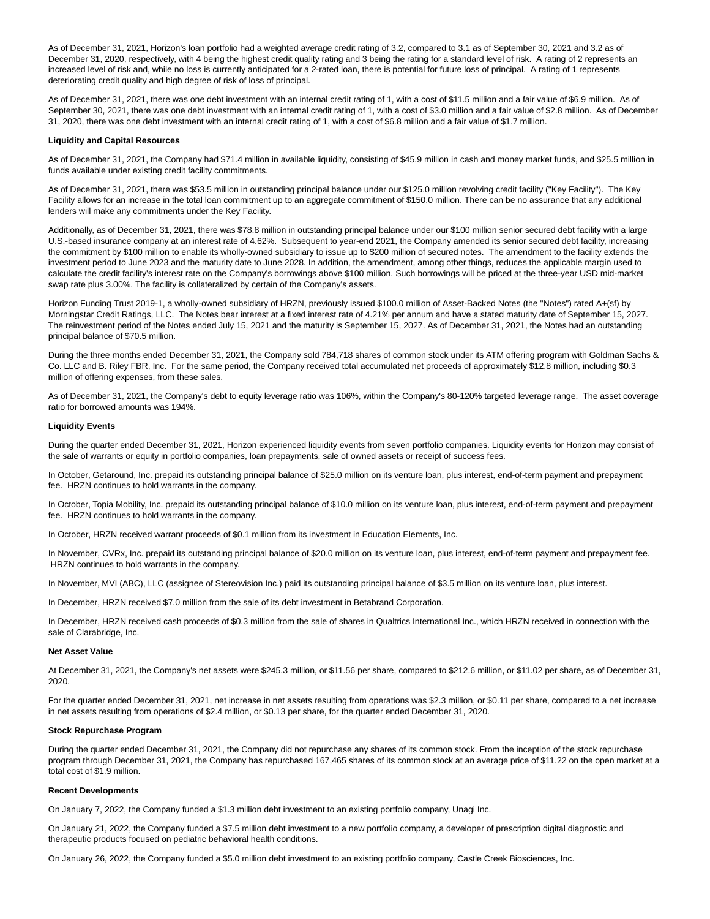As of December 31, 2021, Horizon's loan portfolio had a weighted average credit rating of 3.2, compared to 3.1 as of September 30, 2021 and 3.2 as of December 31, 2020, respectively, with 4 being the highest credit quality rating and 3 being the rating for a standard level of risk. A rating of 2 represents an increased level of risk and, while no loss is currently anticipated for a 2-rated loan, there is potential for future loss of principal. A rating of 1 represents deteriorating credit quality and high degree of risk of loss of principal.

As of December 31, 2021, there was one debt investment with an internal credit rating of 1, with a cost of \$11.5 million and a fair value of \$6.9 million. As of September 30, 2021, there was one debt investment with an internal credit rating of 1, with a cost of \$3.0 million and a fair value of \$2.8 million. As of December 31, 2020, there was one debt investment with an internal credit rating of 1, with a cost of \$6.8 million and a fair value of \$1.7 million.

### **Liquidity and Capital Resources**

As of December 31, 2021, the Company had \$71.4 million in available liquidity, consisting of \$45.9 million in cash and money market funds, and \$25.5 million in funds available under existing credit facility commitments.

As of December 31, 2021, there was \$53.5 million in outstanding principal balance under our \$125.0 million revolving credit facility ("Key Facility"). The Key Facility allows for an increase in the total loan commitment up to an aggregate commitment of \$150.0 million. There can be no assurance that any additional lenders will make any commitments under the Key Facility.

Additionally, as of December 31, 2021, there was \$78.8 million in outstanding principal balance under our \$100 million senior secured debt facility with a large U.S.-based insurance company at an interest rate of 4.62%. Subsequent to year-end 2021, the Company amended its senior secured debt facility, increasing the commitment by \$100 million to enable its wholly-owned subsidiary to issue up to \$200 million of secured notes. The amendment to the facility extends the investment period to June 2023 and the maturity date to June 2028. In addition, the amendment, among other things, reduces the applicable margin used to calculate the credit facility's interest rate on the Company's borrowings above \$100 million. Such borrowings will be priced at the three-year USD mid-market swap rate plus 3.00%. The facility is collateralized by certain of the Company's assets.

Horizon Funding Trust 2019-1, a wholly-owned subsidiary of HRZN, previously issued \$100.0 million of Asset-Backed Notes (the "Notes") rated A+(sf) by Morningstar Credit Ratings, LLC. The Notes bear interest at a fixed interest rate of 4.21% per annum and have a stated maturity date of September 15, 2027. The reinvestment period of the Notes ended July 15, 2021 and the maturity is September 15, 2027. As of December 31, 2021, the Notes had an outstanding principal balance of \$70.5 million.

During the three months ended December 31, 2021, the Company sold 784,718 shares of common stock under its ATM offering program with Goldman Sachs & Co. LLC and B. Riley FBR, Inc. For the same period, the Company received total accumulated net proceeds of approximately \$12.8 million, including \$0.3 million of offering expenses, from these sales.

As of December 31, 2021, the Company's debt to equity leverage ratio was 106%, within the Company's 80-120% targeted leverage range. The asset coverage ratio for borrowed amounts was 194%.

## **Liquidity Events**

During the quarter ended December 31, 2021, Horizon experienced liquidity events from seven portfolio companies. Liquidity events for Horizon may consist of the sale of warrants or equity in portfolio companies, loan prepayments, sale of owned assets or receipt of success fees.

In October, Getaround, Inc. prepaid its outstanding principal balance of \$25.0 million on its venture loan, plus interest, end-of-term payment and prepayment fee. HRZN continues to hold warrants in the company.

In October, Topia Mobility, Inc. prepaid its outstanding principal balance of \$10.0 million on its venture loan, plus interest, end-of-term payment and prepayment fee. HRZN continues to hold warrants in the company.

In October, HRZN received warrant proceeds of \$0.1 million from its investment in Education Elements, Inc.

In November, CVRx, Inc. prepaid its outstanding principal balance of \$20.0 million on its venture loan, plus interest, end-of-term payment and prepayment fee. HRZN continues to hold warrants in the company.

In November, MVI (ABC), LLC (assignee of Stereovision Inc.) paid its outstanding principal balance of \$3.5 million on its venture loan, plus interest.

In December, HRZN received \$7.0 million from the sale of its debt investment in Betabrand Corporation.

In December, HRZN received cash proceeds of \$0.3 million from the sale of shares in Qualtrics International Inc., which HRZN received in connection with the sale of Clarabridge, Inc.

#### **Net Asset Value**

At December 31, 2021, the Company's net assets were \$245.3 million, or \$11.56 per share, compared to \$212.6 million, or \$11.02 per share, as of December 31, 2020.

For the quarter ended December 31, 2021, net increase in net assets resulting from operations was \$2.3 million, or \$0.11 per share, compared to a net increase in net assets resulting from operations of \$2.4 million, or \$0.13 per share, for the quarter ended December 31, 2020.

#### **Stock Repurchase Program**

During the quarter ended December 31, 2021, the Company did not repurchase any shares of its common stock. From the inception of the stock repurchase program through December 31, 2021, the Company has repurchased 167,465 shares of its common stock at an average price of \$11.22 on the open market at a total cost of \$1.9 million.

#### **Recent Developments**

On January 7, 2022, the Company funded a \$1.3 million debt investment to an existing portfolio company, Unagi Inc.

On January 21, 2022, the Company funded a \$7.5 million debt investment to a new portfolio company, a developer of prescription digital diagnostic and therapeutic products focused on pediatric behavioral health conditions.

On January 26, 2022, the Company funded a \$5.0 million debt investment to an existing portfolio company, Castle Creek Biosciences, Inc.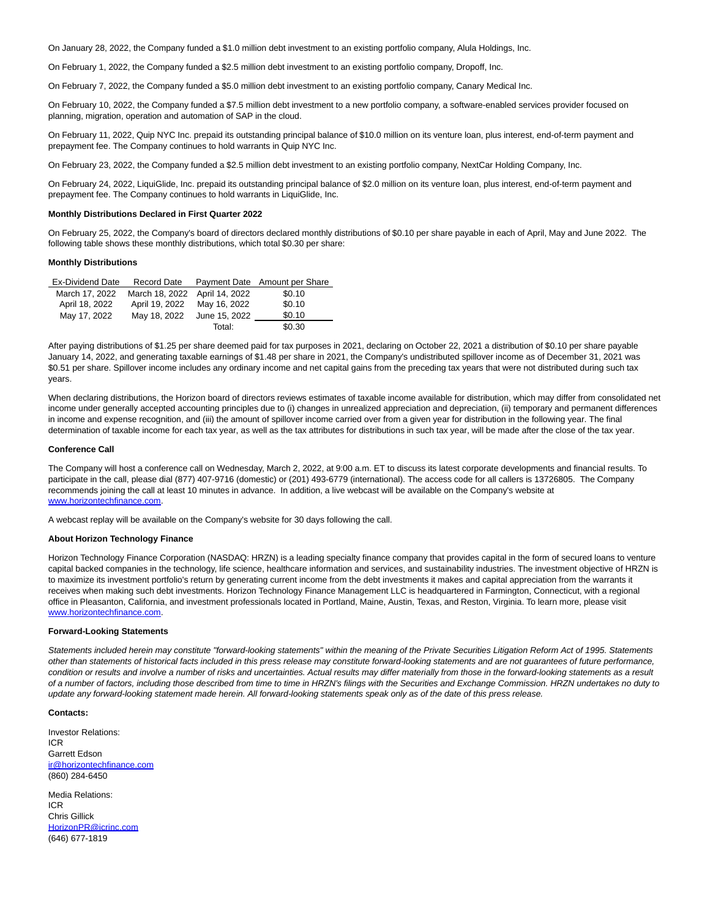On January 28, 2022, the Company funded a \$1.0 million debt investment to an existing portfolio company, Alula Holdings, Inc.

On February 1, 2022, the Company funded a \$2.5 million debt investment to an existing portfolio company, Dropoff, Inc.

On February 7, 2022, the Company funded a \$5.0 million debt investment to an existing portfolio company, Canary Medical Inc.

On February 10, 2022, the Company funded a \$7.5 million debt investment to a new portfolio company, a software-enabled services provider focused on planning, migration, operation and automation of SAP in the cloud.

On February 11, 2022, Quip NYC Inc. prepaid its outstanding principal balance of \$10.0 million on its venture loan, plus interest, end-of-term payment and prepayment fee. The Company continues to hold warrants in Quip NYC Inc.

On February 23, 2022, the Company funded a \$2.5 million debt investment to an existing portfolio company, NextCar Holding Company, Inc.

On February 24, 2022, LiquiGlide, Inc. prepaid its outstanding principal balance of \$2.0 million on its venture loan, plus interest, end-of-term payment and prepayment fee. The Company continues to hold warrants in LiquiGlide, Inc.

#### **Monthly Distributions Declared in First Quarter 2022**

On February 25, 2022, the Company's board of directors declared monthly distributions of \$0.10 per share payable in each of April, May and June 2022. The following table shows these monthly distributions, which total \$0.30 per share:

#### **Monthly Distributions**

| <b>Ex-Dividend Date</b> | <b>Record Date</b>            |               | Payment Date Amount per Share |
|-------------------------|-------------------------------|---------------|-------------------------------|
| March 17, 2022          | March 18, 2022 April 14, 2022 |               | \$0.10                        |
| April 18, 2022          | April 19, 2022                | May 16, 2022  | \$0.10                        |
| May 17, 2022            | May 18, 2022                  | June 15, 2022 | \$0.10                        |
|                         |                               | Total:        | \$0.30                        |

After paying distributions of \$1.25 per share deemed paid for tax purposes in 2021, declaring on October 22, 2021 a distribution of \$0.10 per share payable January 14, 2022, and generating taxable earnings of \$1.48 per share in 2021, the Company's undistributed spillover income as of December 31, 2021 was \$0.51 per share. Spillover income includes any ordinary income and net capital gains from the preceding tax years that were not distributed during such tax years.

When declaring distributions, the Horizon board of directors reviews estimates of taxable income available for distribution, which may differ from consolidated net income under generally accepted accounting principles due to (i) changes in unrealized appreciation and depreciation, (ii) temporary and permanent differences in income and expense recognition, and (iii) the amount of spillover income carried over from a given year for distribution in the following year. The final determination of taxable income for each tax year, as well as the tax attributes for distributions in such tax year, will be made after the close of the tax year.

#### **Conference Call**

The Company will host a conference call on Wednesday, March 2, 2022, at 9:00 a.m. ET to discuss its latest corporate developments and financial results. To participate in the call, please dial (877) 407-9716 (domestic) or (201) 493-6779 (international). The access code for all callers is 13726805. The Company recommends joining the call at least 10 minutes in advance. In addition, a live webcast will be available on the Company's website at [www.horizontechfinance.com.](https://c212.net/c/link/?t=0&l=en&o=3459346-1&h=160773832&u=http%3A%2F%2Fwww.horizontechfinance.com%2F&a=www.horizontechfinance.com) 

A webcast replay will be available on the Company's website for 30 days following the call.

#### **About Horizon Technology Finance**

Horizon Technology Finance Corporation (NASDAQ: HRZN) is a leading specialty finance company that provides capital in the form of secured loans to venture capital backed companies in the technology, life science, healthcare information and services, and sustainability industries. The investment objective of HRZN is to maximize its investment portfolio's return by generating current income from the debt investments it makes and capital appreciation from the warrants it receives when making such debt investments. Horizon Technology Finance Management LLC is headquartered in Farmington, Connecticut, with a regional office in Pleasanton, California, and investment professionals located in Portland, Maine, Austin, Texas, and Reston, Virginia. To learn more, please visit [www.horizontechfinance.com.](http://www.horizontechfinance.com/)

## **Forward-Looking Statements**

Statements included herein may constitute "forward-looking statements" within the meaning of the Private Securities Litigation Reform Act of 1995. Statements other than statements of historical facts included in this press release may constitute forward-looking statements and are not guarantees of future performance, condition or results and involve a number of risks and uncertainties. Actual results may differ materially from those in the forward-looking statements as a result of a number of factors, including those described from time to time in HRZN's filings with the Securities and Exchange Commission. HRZN undertakes no duty to update any forward-looking statement made herein. All forward-looking statements speak only as of the date of this press release.

## **Contacts:**

Investor Relations: ICR Garrett Edson [ir@horizontechfinance.com](mailto:ir@horizontechfinance.com) (860) 284-6450

Media Relations: ICR Chris Gillick [HorizonPR@icrinc.com](mailto:HorizonPR@icrinc.com) (646) 677-1819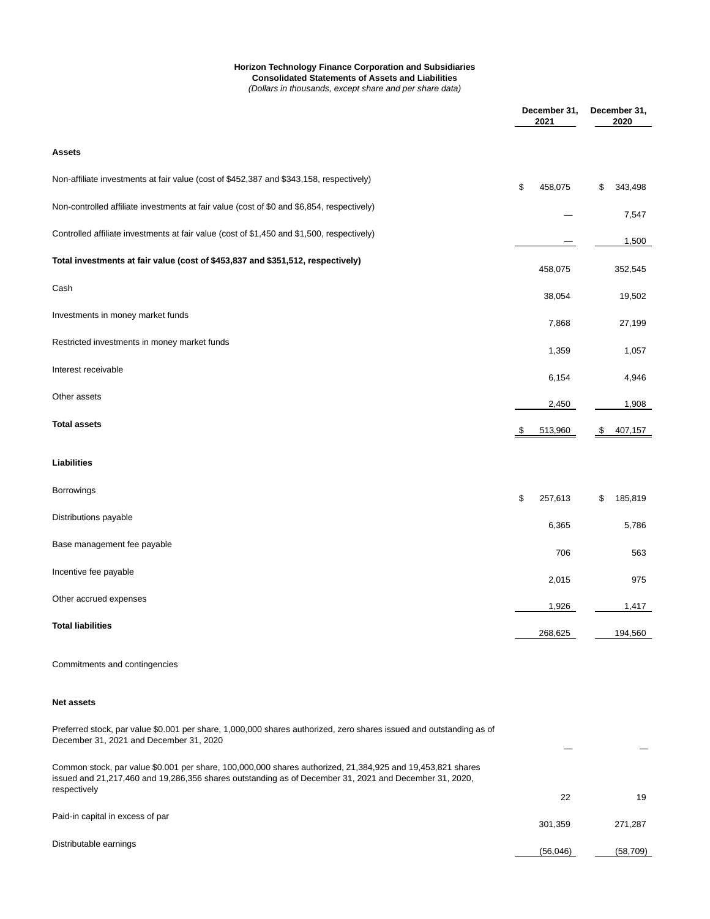# **Horizon Technology Finance Corporation and Subsidiaries Consolidated Statements of Assets and Liabilities**

(Dollars in thousands, except share and per share data)

|                                                                                                                                                                | December 31,<br>2021 | December 31,<br>2020 |
|----------------------------------------------------------------------------------------------------------------------------------------------------------------|----------------------|----------------------|
| Assets                                                                                                                                                         |                      |                      |
| Non-affiliate investments at fair value (cost of \$452,387 and \$343,158, respectively)                                                                        | \$<br>458,075        | \$<br>343,498        |
| Non-controlled affiliate investments at fair value (cost of \$0 and \$6,854, respectively)                                                                     |                      | 7,547                |
| Controlled affiliate investments at fair value (cost of \$1,450 and \$1,500, respectively)                                                                     |                      | 1,500                |
| Total investments at fair value (cost of \$453,837 and \$351,512, respectively)                                                                                | 458,075              | 352,545              |
| Cash                                                                                                                                                           | 38,054               | 19,502               |
| Investments in money market funds                                                                                                                              | 7,868                | 27,199               |
| Restricted investments in money market funds                                                                                                                   | 1,359                | 1,057                |
| Interest receivable                                                                                                                                            | 6,154                | 4,946                |
| Other assets                                                                                                                                                   | 2,450                | 1,908                |
| <b>Total assets</b>                                                                                                                                            | 513,960              | \$<br>407,157        |
| <b>Liabilities</b>                                                                                                                                             |                      |                      |
| Borrowings                                                                                                                                                     | \$<br>257,613        | \$<br>185,819        |
| Distributions payable                                                                                                                                          | 6,365                | 5,786                |
| Base management fee payable                                                                                                                                    | 706                  | 563                  |
| Incentive fee payable                                                                                                                                          | 2,015                | 975                  |
| Other accrued expenses                                                                                                                                         | 1,926                | 1,417                |
| <b>Total liabilities</b>                                                                                                                                       | 268,625              | 194,560              |
| Commitments and contingencies                                                                                                                                  |                      |                      |
| <b>Net assets</b>                                                                                                                                              |                      |                      |
| Preferred stock, par value \$0.001 per share, 1,000,000 shares authorized, zero shares issued and outstanding as of<br>December 31, 2021 and December 31, 2020 |                      |                      |
| Common stock, par value \$0.001 per share, 100,000,000 shares authorized, 21,384,925 and 19,453,821 shares                                                     |                      |                      |

| issued and 21,217,460 and 19,286,356 shares outstanding as of December 31, 2021 and December 31, 2020,<br>respectively |          |          |
|------------------------------------------------------------------------------------------------------------------------|----------|----------|
|                                                                                                                        | 22       | 19       |
| Paid-in capital in excess of par                                                                                       | 301.359  | 271.287  |
| Distributable earnings                                                                                                 | (56,046) | (58,709) |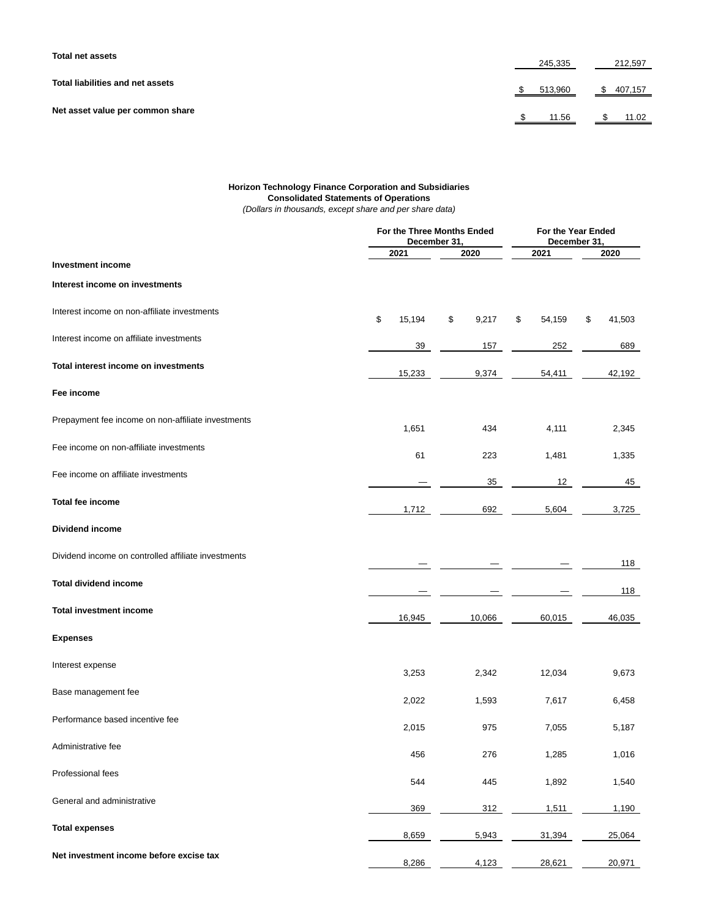| <b>Total net assets</b>          | 245,335    | 212,597   |  |
|----------------------------------|------------|-----------|--|
| Total liabilities and net assets | \$ 513,960 | \$407,157 |  |
| Net asset value per common share | 11.56      | 11.02     |  |

# **Horizon Technology Finance Corporation and Subsidiaries Consolidated Statements of Operations**

(Dollars in thousands, except share and per share data)

|                                                     |              | For the Three Months Ended<br>December 31, | For the Year Ended<br>December 31, |              |  |  |
|-----------------------------------------------------|--------------|--------------------------------------------|------------------------------------|--------------|--|--|
|                                                     | 2021<br>2020 |                                            | 2021                               | 2020         |  |  |
| <b>Investment income</b>                            |              |                                            |                                    |              |  |  |
| Interest income on investments                      |              |                                            |                                    |              |  |  |
| Interest income on non-affiliate investments        | \$<br>15,194 | \$<br>9,217                                | \$<br>54,159                       | \$<br>41,503 |  |  |
| Interest income on affiliate investments            | 39           | 157                                        | 252                                | 689          |  |  |
| Total interest income on investments                | 15,233       | 9,374                                      | 54,411                             | 42,192       |  |  |
| Fee income                                          |              |                                            |                                    |              |  |  |
| Prepayment fee income on non-affiliate investments  | 1,651        | 434                                        | 4,111                              | 2,345        |  |  |
| Fee income on non-affiliate investments             | 61           | 223                                        | 1,481                              | 1,335        |  |  |
| Fee income on affiliate investments                 |              | 35                                         | 12                                 | 45           |  |  |
| <b>Total fee income</b>                             | 1,712        | 692                                        | 5,604                              | 3,725        |  |  |
| <b>Dividend income</b>                              |              |                                            |                                    |              |  |  |
| Dividend income on controlled affiliate investments |              |                                            |                                    | 118          |  |  |
| <b>Total dividend income</b>                        |              |                                            |                                    | 118          |  |  |
| <b>Total investment income</b>                      | 16,945       | 10,066                                     | 60,015                             | 46,035       |  |  |
| <b>Expenses</b>                                     |              |                                            |                                    |              |  |  |
| Interest expense                                    | 3,253        | 2,342                                      | 12,034                             | 9,673        |  |  |
| Base management fee                                 | 2,022        | 1,593                                      | 7,617                              | 6,458        |  |  |
| Performance based incentive fee                     | 2,015        | 975                                        | 7,055                              | 5,187        |  |  |
| Administrative fee                                  | 456          | 276                                        | 1,285                              | 1,016        |  |  |
| Professional fees                                   | 544          | 445                                        | 1,892                              | 1,540        |  |  |
| General and administrative                          | 369          | 312                                        | 1,511                              | 1,190        |  |  |
| <b>Total expenses</b>                               | 8,659        | 5,943                                      | 31,394                             | 25,064       |  |  |
| Net investment income before excise tax             | 8,286        | 4,123                                      | 28,621                             | 20,971       |  |  |